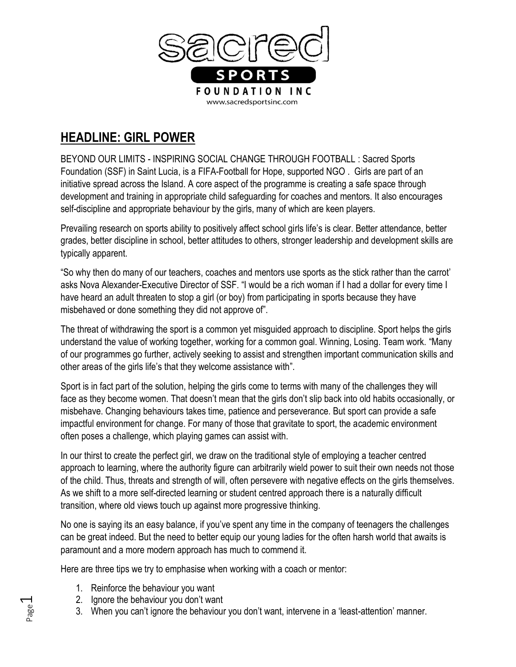

## **HEADLINE: GIRL POWER**

BEYOND OUR LIMITS - INSPIRING SOCIAL CHANGE THROUGH FOOTBALL : Sacred Sports Foundation (SSF) in Saint Lucia, is a FIFA-Football for Hope, supported NGO . Girls are part of an initiative spread across the Island. A core aspect of the programme is creating a safe space through development and training in appropriate child safeguarding for coaches and mentors. It also encourages self-discipline and appropriate behaviour by the girls, many of which are keen players.

Prevailing research on sports ability to positively affect school girls life's is clear. Better attendance, better grades, better discipline in school, better attitudes to others, stronger leadership and development skills are typically apparent.

"So why then do many of our teachers, coaches and mentors use sports as the stick rather than the carrot' asks Nova Alexander-Executive Director of SSF. "I would be a rich woman if I had a dollar for every time I have heard an adult threaten to stop a girl (or boy) from participating in sports because they have misbehaved or done something they did not approve of".

The threat of withdrawing the sport is a common yet misguided approach to discipline. Sport helps the girls understand the value of working together, working for a common goal. Winning, Losing. Team work. "Many of our programmes go further, actively seeking to assist and strengthen important communication skills and other areas of the girls life's that they welcome assistance with".

Sport is in fact part of the solution, helping the girls come to terms with many of the challenges they will face as they become women. That doesn't mean that the girls don't slip back into old habits occasionally, or misbehave. Changing behaviours takes time, patience and perseverance. But sport can provide a safe impactful environment for change. For many of those that gravitate to sport, the academic environment often poses a challenge, which playing games can assist with.

In our thirst to create the perfect girl, we draw on the traditional style of employing a teacher centred approach to learning, where the authority figure can arbitrarily wield power to suit their own needs not those of the child. Thus, threats and strength of will, often persevere with negative effects on the girls themselves. As we shift to a more self-directed learning or student centred approach there is a naturally difficult transition, where old views touch up against more progressive thinking.

No one is saying its an easy balance, if you've spent any time in the company of teenagers the challenges can be great indeed. But the need to better equip our young ladies for the often harsh world that awaits is paramount and a more modern approach has much to commend it.

Here are three tips we try to emphasise when working with a coach or mentor:

- 1. Reinforce the behaviour you want
- 2. Ignore the behaviour you don't want
- 3. When you can't ignore the behaviour you don't want, intervene in a 'least-attention' manner.